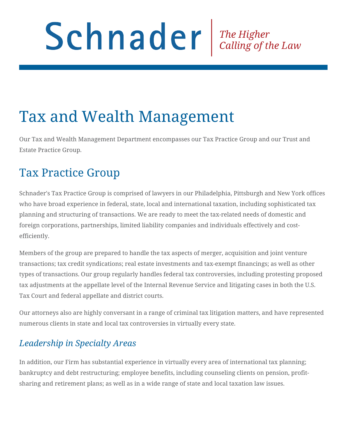# Schnader The Higher Calling of the Law

# Tax and Wealth Management

Our Tax and Wealth Management Department encompasses our Tax Practice Group and our Trust and Estate Practice Group.

### Tax Practice Group

Schnader's Tax Practice Group is comprised of lawyers in our Philadelphia, Pittsburgh and New York offices who have broad experience in federal, state, local and international taxation, including sophisticated tax planning and structuring of transactions. We are ready to meet the tax-related needs of domestic and foreign corporations, partnerships, limited liability companies and individuals effectively and costefficiently.

Members of the group are prepared to handle the tax aspects of merger, acquisition and joint venture transactions; tax credit syndications; real estate investments and tax-exempt financings; as well as other types of transactions. Our group regularly handles federal tax controversies, including protesting proposed tax adjustments at the appellate level of the Internal Revenue Service and litigating cases in both the U.S. Tax Court and federal appellate and district courts.

Our attorneys also are highly conversant in a range of criminal tax litigation matters, and have represented numerous clients in state and local tax controversies in virtually every state.

#### *Leadership in Specialty Areas*

In addition, our Firm has substantial experience in virtually every area of international tax planning; bankruptcy and debt restructuring; employee benefits, including counseling clients on pension, profitsharing and retirement plans; as well as in a wide range of state and local taxation law issues.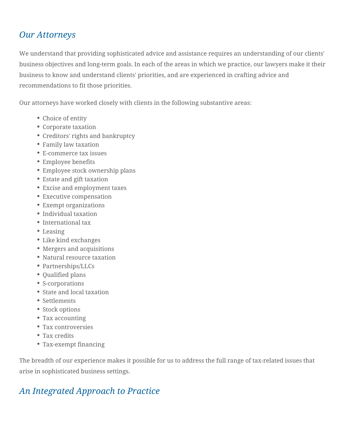#### *Our Attorneys*

We understand that providing sophisticated advice and assistance requires an understanding of our clients' business objectives and long-term goals. In each of the areas in which we practice, our lawyers make it their business to know and understand clients' priorities, and are experienced in crafting advice and recommendations to fit those priorities.

Our attorneys have worked closely with clients in the following substantive areas:

- Choice of entity
- Corporate taxation
- Creditors' rights and bankruptcy
- Family law taxation
- E-commerce tax issues
- Employee benefits
- Employee stock ownership plans
- Estate and gift taxation
- Excise and employment taxes
- Executive compensation
- Exempt organizations
- Individual taxation
- International tax
- Leasing
- Like kind exchanges
- Mergers and acquisitions
- Natural resource taxation
- Partnerships/LLCs
- Qualified plans
- S-corporations
- State and local taxation
- Settlements
- Stock options
- Tax accounting
- Tax controversies
- Tax credits
- Tax-exempt financing

The breadth of our experience makes it possible for us to address the full range of tax-related issues that arise in sophisticated business settings.

#### *An Integrated Approach to Practice*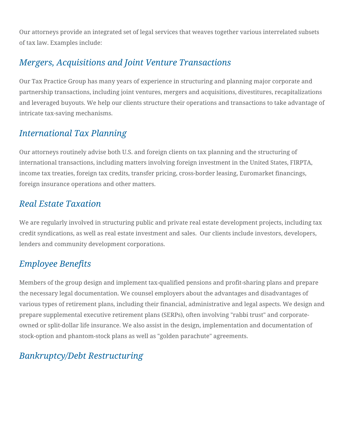Our attorneys provide an integrated set of legal services that weaves together various interrelated subsets of tax law. Examples include:

#### *Mergers, Acquisitions and Joint Venture Transactions*

Our Tax Practice Group has many years of experience in structuring and planning major corporate and partnership transactions, including joint ventures, mergers and acquisitions, divestitures, recapitalizations and leveraged buyouts. We help our clients structure their operations and transactions to take advantage of intricate tax-saving mechanisms.

#### *International Tax Planning*

Our attorneys routinely advise both U.S. and foreign clients on tax planning and the structuring of international transactions, including matters involving foreign investment in the United States, FIRPTA, income tax treaties, foreign tax credits, transfer pricing, cross-border leasing, Euromarket financings, foreign insurance operations and other matters.

#### *Real Estate Taxation*

We are regularly involved in structuring public and private real estate development projects, including tax credit syndications, as well as real estate investment and sales. Our clients include investors, developers, lenders and community development corporations.

#### *Employee Benefits*

Members of the group design and implement tax-qualified pensions and profit-sharing plans and prepare the necessary legal documentation. We counsel employers about the advantages and disadvantages of various types of retirement plans, including their financial, administrative and legal aspects. We design and prepare supplemental executive retirement plans (SERPs), often involving "rabbi trust" and corporateowned or split-dollar life insurance. We also assist in the design, implementation and documentation of stock-option and phantom-stock plans as well as "golden parachute" agreements.

#### *Bankruptcy/Debt Restructuring*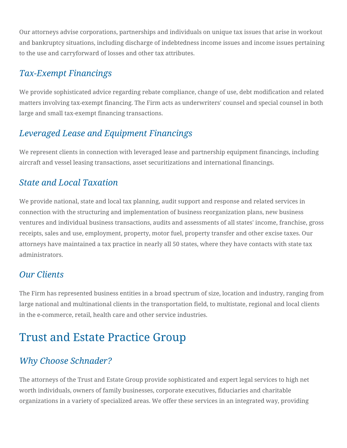Our attorneys advise corporations, partnerships and individuals on unique tax issues that arise in workout and bankruptcy situations, including discharge of indebtedness income issues and income issues pertaining to the use and carryforward of losses and other tax attributes.

#### *Tax-Exempt Financings*

We provide sophisticated advice regarding rebate compliance, change of use, debt modification and related matters involving tax-exempt financing. The Firm acts as underwriters' counsel and special counsel in both large and small tax-exempt financing transactions.

#### *Leveraged Lease and Equipment Financings*

We represent clients in connection with leveraged lease and partnership equipment financings, including aircraft and vessel leasing transactions, asset securitizations and international financings.

#### *State and Local Taxation*

We provide national, state and local tax planning, audit support and response and related services in connection with the structuring and implementation of business reorganization plans, new business ventures and individual business transactions, audits and assessments of all states' income, franchise, gross receipts, sales and use, employment, property, motor fuel, property transfer and other excise taxes. Our attorneys have maintained a tax practice in nearly all 50 states, where they have contacts with state tax administrators.

#### *Our Clients*

The Firm has represented business entities in a broad spectrum of size, location and industry, ranging from large national and multinational clients in the transportation field, to multistate, regional and local clients in the e-commerce, retail, health care and other service industries.

## Trust and Estate Practice Group

#### *Why Choose Schnader?*

The attorneys of the Trust and Estate Group provide sophisticated and expert legal services to high net worth individuals, owners of family businesses, corporate executives, fiduciaries and charitable organizations in a variety of specialized areas. We offer these services in an integrated way, providing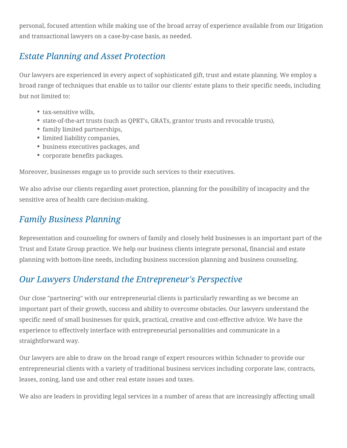personal, focused attention while making use of the broad array of experience available from our litigation and transactional lawyers on a case-by-case basis, as needed.

#### *Estate Planning and Asset Protection*

Our lawyers are experienced in every aspect of sophisticated gift, trust and estate planning. We employ a broad range of techniques that enable us to tailor our clients' estate plans to their specific needs, including but not limited to:

- tax-sensitive wills.
- state-of-the-art trusts (such as QPRT's, GRATs, grantor trusts and revocable trusts),
- family limited partnerships,
- limited liability companies,
- business executives packages, and
- corporate benefits packages.

Moreover, businesses engage us to provide such services to their executives.

We also advise our clients regarding asset protection, planning for the possibility of incapacity and the sensitive area of health care decision-making.

#### *Family Business Planning*

Representation and counseling for owners of family and closely held businesses is an important part of the Trust and Estate Group practice. We help our business clients integrate personal, financial and estate planning with bottom-line needs, including business succession planning and business counseling.

#### *Our Lawyers Understand the Entrepreneur's Perspective*

Our close "partnering" with our entrepreneurial clients is particularly rewarding as we become an important part of their growth, success and ability to overcome obstacles. Our lawyers understand the specific need of small businesses for quick, practical, creative and cost-effective advice. We have the experience to effectively interface with entrepreneurial personalities and communicate in a straightforward way.

Our lawyers are able to draw on the broad range of expert resources within Schnader to provide our entrepreneurial clients with a variety of traditional business services including corporate law, contracts, leases, zoning, land use and other real estate issues and taxes.

We also are leaders in providing legal services in a number of areas that are increasingly affecting small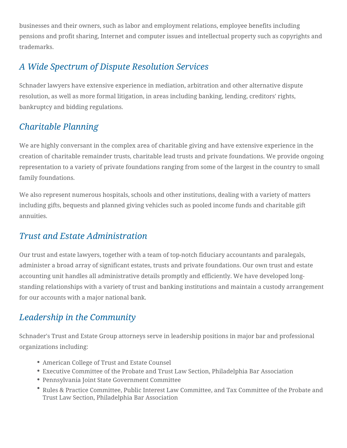businesses and their owners, such as labor and employment relations, employee benefits including pensions and profit sharing, Internet and computer issues and intellectual property such as copyrights and trademarks.

#### *A Wide Spectrum of Dispute Resolution Services*

Schnader lawyers have extensive experience in mediation, arbitration and other alternative dispute resolution, as well as more formal litigation, in areas including banking, lending, creditors' rights, bankruptcy and bidding regulations.

#### *Charitable Planning*

We are highly conversant in the complex area of charitable giving and have extensive experience in the creation of charitable remainder trusts, charitable lead trusts and private foundations. We provide ongoing representation to a variety of private foundations ranging from some of the largest in the country to small family foundations.

We also represent numerous hospitals, schools and other institutions, dealing with a variety of matters including gifts, bequests and planned giving vehicles such as pooled income funds and charitable gift annuities.

#### *Trust and Estate Administration*

Our trust and estate lawyers, together with a team of top-notch fiduciary accountants and paralegals, administer a broad array of significant estates, trusts and private foundations. Our own trust and estate accounting unit handles all administrative details promptly and efficiently. We have developed longstanding relationships with a variety of trust and banking institutions and maintain a custody arrangement for our accounts with a major national bank.

#### *Leadership in the Community*

Schnader's Trust and Estate Group attorneys serve in leadership positions in major bar and professional organizations including:

- American College of Trust and Estate Counsel
- Executive Committee of the Probate and Trust Law Section, Philadelphia Bar Association
- Pennsylvania Joint State Government Committee
- Rules & Practice Committee, Public Interest Law Committee, and Tax Committee of the Probate and Trust Law Section, Philadelphia Bar Association